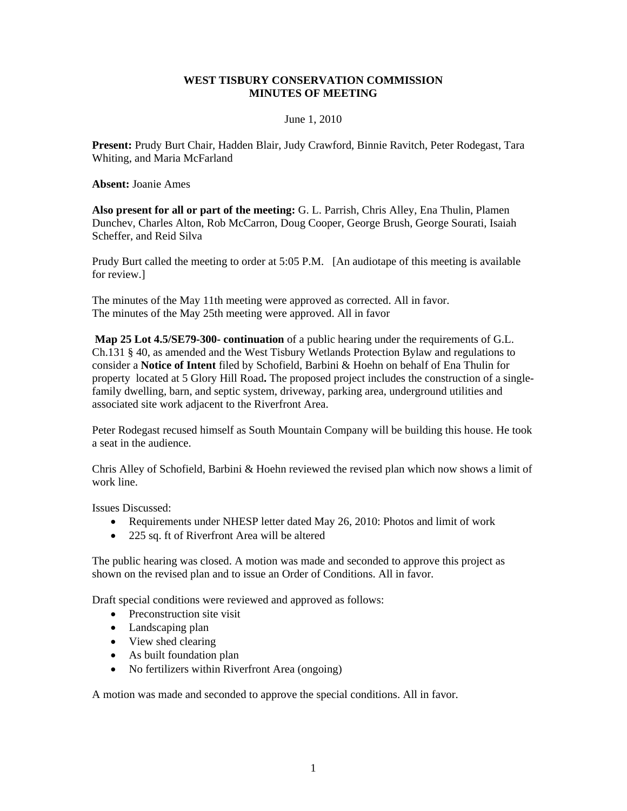### **WEST TISBURY CONSERVATION COMMISSION MINUTES OF MEETING**

#### June 1, 2010

**Present:** Prudy Burt Chair, Hadden Blair, Judy Crawford, Binnie Ravitch, Peter Rodegast, Tara Whiting, and Maria McFarland

**Absent:** Joanie Ames

**Also present for all or part of the meeting:** G. L. Parrish, Chris Alley, Ena Thulin, Plamen Dunchev, Charles Alton, Rob McCarron, Doug Cooper, George Brush, George Sourati, Isaiah Scheffer, and Reid Silva

Prudy Burt called the meeting to order at 5:05 P.M. [An audiotape of this meeting is available for review.]

The minutes of the May 11th meeting were approved as corrected. All in favor. The minutes of the May 25th meeting were approved. All in favor

**Map 25 Lot 4.5/SE79-300- continuation** of a public hearing under the requirements of G.L. Ch.131 § 40, as amended and the West Tisbury Wetlands Protection Bylaw and regulations to consider a **Notice of Intent** filed by Schofield, Barbini & Hoehn on behalf of Ena Thulin for property located at 5 Glory Hill Road**.** The proposed project includes the construction of a singlefamily dwelling, barn, and septic system, driveway, parking area, underground utilities and associated site work adjacent to the Riverfront Area.

Peter Rodegast recused himself as South Mountain Company will be building this house. He took a seat in the audience.

Chris Alley of Schofield, Barbini & Hoehn reviewed the revised plan which now shows a limit of work line.

Issues Discussed:

- Requirements under NHESP letter dated May 26, 2010: Photos and limit of work
- 225 sq. ft of Riverfront Area will be altered

The public hearing was closed. A motion was made and seconded to approve this project as shown on the revised plan and to issue an Order of Conditions. All in favor.

Draft special conditions were reviewed and approved as follows:

- Preconstruction site visit
- Landscaping plan
- View shed clearing
- As built foundation plan
- No fertilizers within Riverfront Area (ongoing)

A motion was made and seconded to approve the special conditions. All in favor.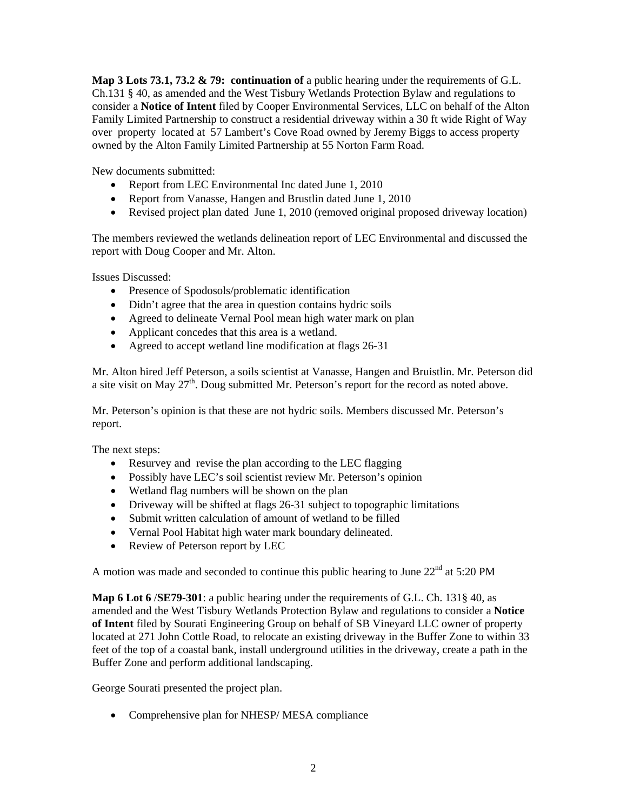**Map 3 Lots 73.1, 73.2 & 79: continuation of** a public hearing under the requirements of G.L. Ch.131 § 40, as amended and the West Tisbury Wetlands Protection Bylaw and regulations to consider a **Notice of Intent** filed by Cooper Environmental Services, LLC on behalf of the Alton Family Limited Partnership to construct a residential driveway within a 30 ft wide Right of Way over property located at 57 Lambert's Cove Road owned by Jeremy Biggs to access property owned by the Alton Family Limited Partnership at 55 Norton Farm Road.

New documents submitted:

- Report from LEC Environmental Inc dated June 1, 2010
- Report from Vanasse, Hangen and Brustlin dated June 1, 2010
- Revised project plan dated June 1, 2010 (removed original proposed driveway location)

The members reviewed the wetlands delineation report of LEC Environmental and discussed the report with Doug Cooper and Mr. Alton.

Issues Discussed:

- Presence of Spodosols/problematic identification
- Didn't agree that the area in question contains hydric soils
- Agreed to delineate Vernal Pool mean high water mark on plan
- Applicant concedes that this area is a wetland.
- Agreed to accept wetland line modification at flags 26-31

Mr. Alton hired Jeff Peterson, a soils scientist at Vanasse, Hangen and Bruistlin. Mr. Peterson did a site visit on May  $27<sup>th</sup>$ . Doug submitted Mr. Peterson's report for the record as noted above.

Mr. Peterson's opinion is that these are not hydric soils. Members discussed Mr. Peterson's report.

The next steps:

- Resurvey and revise the plan according to the LEC flagging
- Possibly have LEC's soil scientist review Mr. Peterson's opinion
- Wetland flag numbers will be shown on the plan
- Driveway will be shifted at flags 26-31 subject to topographic limitations
- Submit written calculation of amount of wetland to be filled
- Vernal Pool Habitat high water mark boundary delineated.
- Review of Peterson report by LEC

A motion was made and seconded to continue this public hearing to June  $22<sup>nd</sup>$  at 5:20 PM

**Map 6 Lot 6** /**SE79-301**: a public hearing under the requirements of G.L. Ch. 131§ 40, as amended and the West Tisbury Wetlands Protection Bylaw and regulations to consider a **Notice of Intent** filed by Sourati Engineering Group on behalf of SB Vineyard LLC owner of property located at 271 John Cottle Road, to relocate an existing driveway in the Buffer Zone to within 33 feet of the top of a coastal bank, install underground utilities in the driveway, create a path in the Buffer Zone and perform additional landscaping.

George Sourati presented the project plan.

• Comprehensive plan for NHESP/ MESA compliance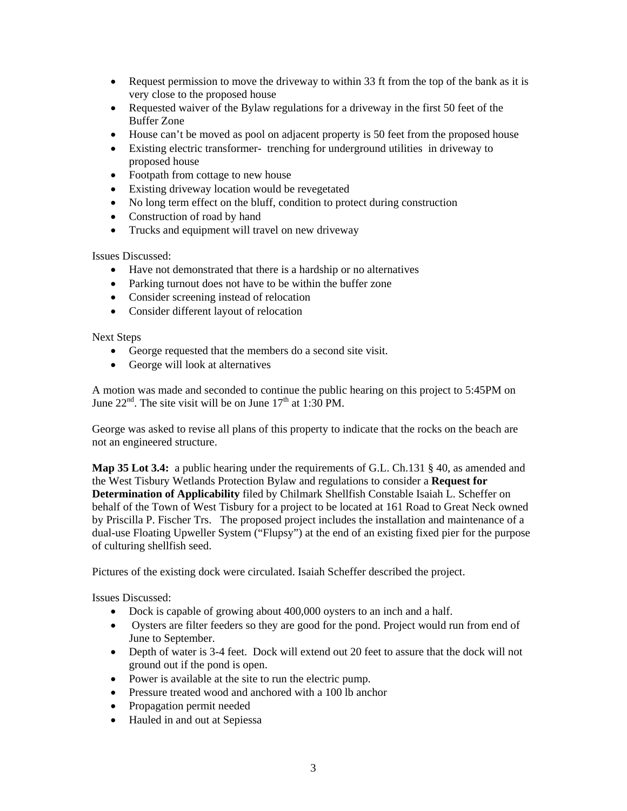- Request permission to move the driveway to within 33 ft from the top of the bank as it is very close to the proposed house
- Requested waiver of the Bylaw regulations for a driveway in the first 50 feet of the Buffer Zone
- House can't be moved as pool on adjacent property is 50 feet from the proposed house
- Existing electric transformer- trenching for underground utilities in driveway to proposed house
- Footpath from cottage to new house
- Existing driveway location would be revegetated
- No long term effect on the bluff, condition to protect during construction
- Construction of road by hand
- Trucks and equipment will travel on new driveway

Issues Discussed:

- Have not demonstrated that there is a hardship or no alternatives
- Parking turnout does not have to be within the buffer zone
- Consider screening instead of relocation
- Consider different layout of relocation

Next Steps

- George requested that the members do a second site visit.
- George will look at alternatives

A motion was made and seconded to continue the public hearing on this project to 5:45PM on June  $22<sup>nd</sup>$ . The site visit will be on June  $17<sup>th</sup>$  at 1:30 PM.

George was asked to revise all plans of this property to indicate that the rocks on the beach are not an engineered structure.

**Map 35 Lot 3.4:** a public hearing under the requirements of G.L. Ch.131 § 40, as amended and the West Tisbury Wetlands Protection Bylaw and regulations to consider a **Request for Determination of Applicability** filed by Chilmark Shellfish Constable Isaiah L. Scheffer on behalf of the Town of West Tisbury for a project to be located at 161 Road to Great Neck owned by Priscilla P. Fischer Trs.The proposed project includes the installation and maintenance of a dual-use Floating Upweller System ("Flupsy") at the end of an existing fixed pier for the purpose of culturing shellfish seed.

Pictures of the existing dock were circulated. Isaiah Scheffer described the project.

Issues Discussed:

- Dock is capable of growing about 400,000 oysters to an inch and a half.
- Oysters are filter feeders so they are good for the pond. Project would run from end of June to September.
- Depth of water is 3-4 feet. Dock will extend out 20 feet to assure that the dock will not ground out if the pond is open.
- Power is available at the site to run the electric pump.
- Pressure treated wood and anchored with a 100 lb anchor
- Propagation permit needed
- Hauled in and out at Sepiessa